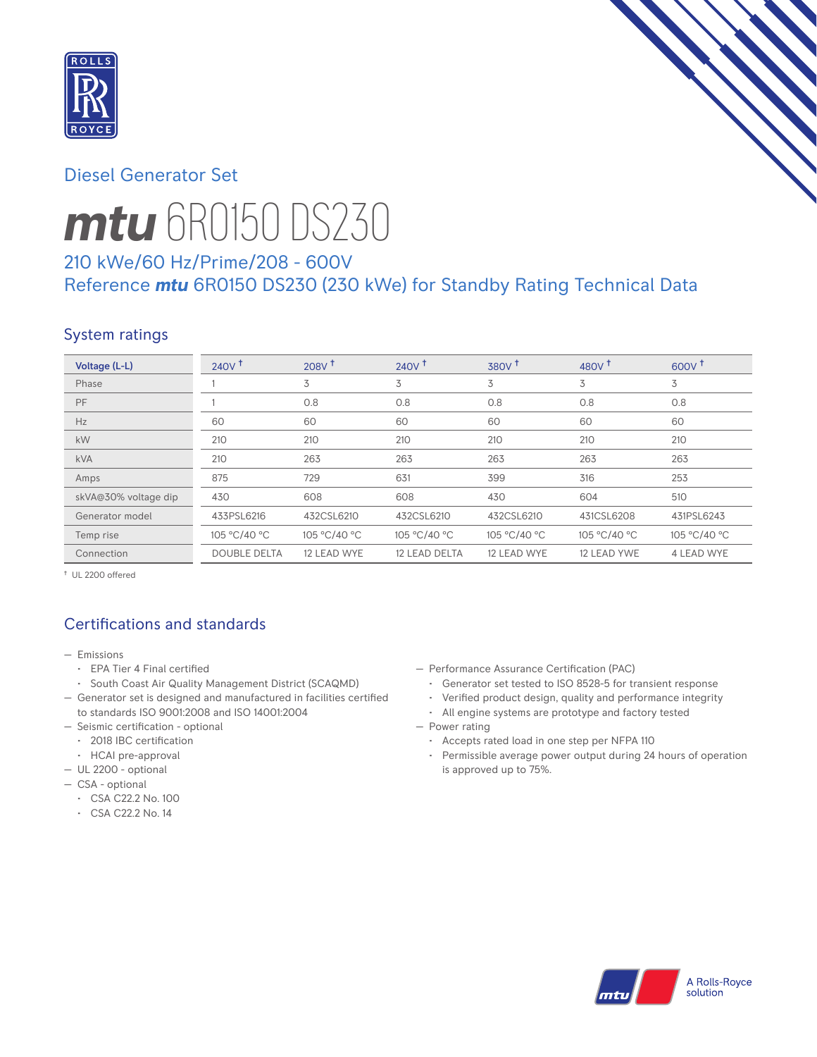

## Diesel Generator Set



# *mtu* 6R0150 DS230

# 210 kWe/60 Hz/Prime/208 - 600V Reference *mtu* 6R0150 DS230 (230 kWe) for Standby Rating Technical Data

# System ratings

| Voltage (L-L)        | 240V <sup>†</sup>   | 208V <sup>†</sup> | $240V$ <sup>t</sup> | 380V <sup>†</sup> | 480 $V†$     | $600V^{\dagger}$ |
|----------------------|---------------------|-------------------|---------------------|-------------------|--------------|------------------|
| Phase                |                     | 3                 | 3                   | 3                 | 3            | 3                |
| PF                   |                     | 0.8               | 0.8                 | 0.8               | 0.8          | 0.8              |
| Hz                   | 60                  | 60                | 60                  | 60                | 60           | 60               |
| kW                   | 210                 | 210               | 210                 | 210               | 210          | 210              |
| <b>kVA</b>           | 210                 | 263               | 263                 | 263               | 263          | 263              |
| Amps                 | 875                 | 729               | 631                 | 399               | 316          | 253              |
| skVA@30% voltage dip | 430                 | 608               | 608                 | 430               | 604          | 510              |
| Generator model      | 433PSL6216          | 432CSL6210        | 432CSL6210          | 432CSL6210        | 431CSL6208   | 431PSL6243       |
| Temp rise            | 105 °C/40 °C        | 105 °C/40 °C      | 105 °C/40 °C        | 105 °C/40 °C      | 105 °C/40 °C | 105 °C/40 °C     |
| Connection           | <b>DOUBLE DELTA</b> | 12 LEAD WYE       | 12 LEAD DELTA       | 12 LEAD WYE       | 12 LEAD YWE  | 4 LEAD WYE       |

† UL 2200 offered

# Certifications and standards

- Emissions
	- EPA Tier 4 Final certified
- South Coast Air Quality Management District (SCAQMD)
- Generator set is designed and manufactured in facilities certified to standards ISO 9001:2008 and ISO 14001:2004
- Seismic certification optional
- 2018 IBC certification
- HCAI pre-approval
- UL 2200 optional
- CSA optional
	- CSA C22.2 No. 100
	- CSA C22.2 No. 14
- Performance Assurance Certification (PAC)
	- Generator set tested to ISO 8528-5 for transient response
	- Verified product design, quality and performance integrity
	- All engine systems are prototype and factory tested
- Power rating
	- Accepts rated load in one step per NFPA 110
	- Permissible average power output during 24 hours of operation is approved up to 75%.

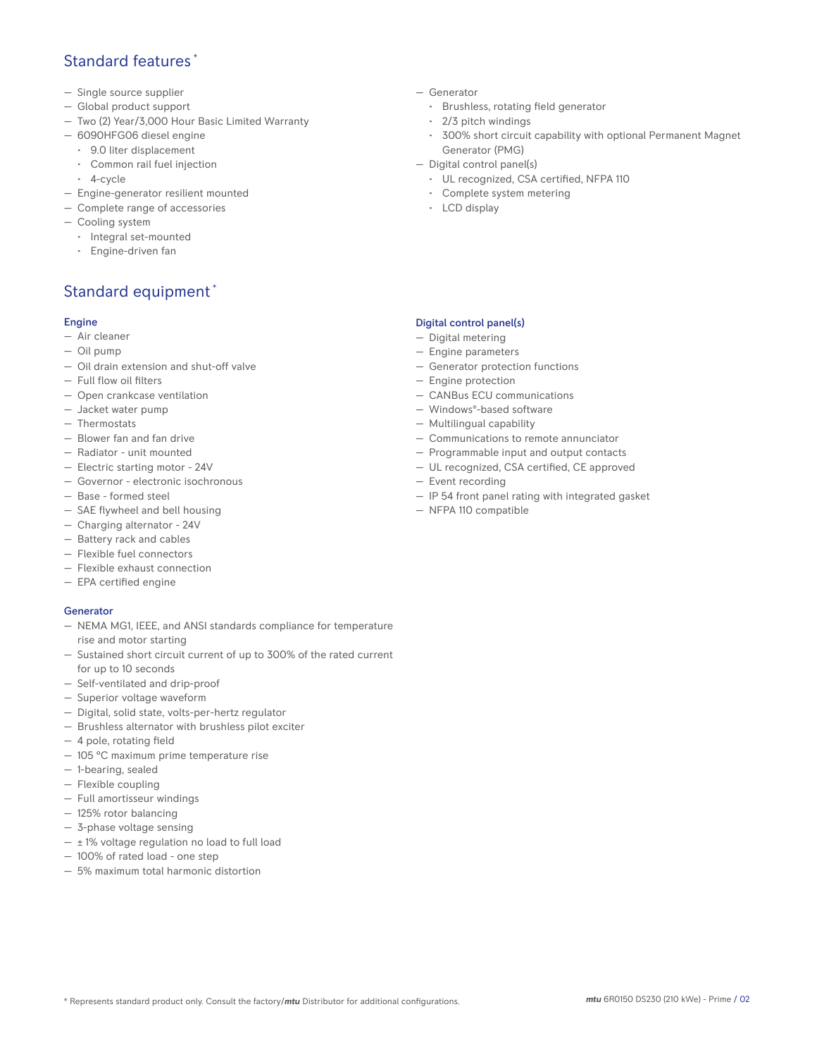## Standard features \*

- Single source supplier
- Global product support
- Two (2) Year/3,000 Hour Basic Limited Warranty
- 6090HFG06 diesel engine
	- 9.0 liter displacement
	- Common rail fuel injection
	- 4-cycle
- Engine-generator resilient mounted
- Complete range of accessories
- Cooling system
- Integral set-mounted
	- Engine-driven fan

# Standard equipment \*

#### Engine

- Air cleaner
- Oil pump
- Oil drain extension and shut-off valve
- Full flow oil filters
- Open crankcase ventilation
- Jacket water pump
- Thermostats
- Blower fan and fan drive
- Radiator unit mounted
- Electric starting motor 24V
- Governor electronic isochronous
- Base formed steel
- SAE flywheel and bell housing
- Charging alternator 24V
- Battery rack and cables
- Flexible fuel connectors
- Flexible exhaust connection
- EPA certified engine

#### **Generator**

- NEMA MG1, IEEE, and ANSI standards compliance for temperature rise and motor starting
- Sustained short circuit current of up to 300% of the rated current for up to 10 seconds
- Self-ventilated and drip-proof
- Superior voltage waveform
- Digital, solid state, volts-per-hertz regulator
- Brushless alternator with brushless pilot exciter
- 4 pole, rotating field
- 105 °C maximum prime temperature rise
- 1-bearing, sealed
- Flexible coupling
- Full amortisseur windings
- 125% rotor balancing
- 3-phase voltage sensing
- $\pm$  1% voltage regulation no load to full load
- 100% of rated load one step
- 5% maximum total harmonic distortion
- Generator
	- Brushless, rotating field generator
	- 2/3 pitch windings
	- 300% short circuit capability with optional Permanent Magnet Generator (PMG)
- Digital control panel(s)
	- UL recognized, CSA certified, NFPA 110
	- Complete system metering
	- LCD display

### Digital control panel(s)

- Digital metering
- Engine parameters
- Generator protection functions
- Engine protection
- CANBus ECU communications
- Windows®-based software
- Multilingual capability
- Communications to remote annunciator
- Programmable input and output contacts
- UL recognized, CSA certified, CE approved
- Event recording
- IP 54 front panel rating with integrated gasket
- NFPA 110 compatible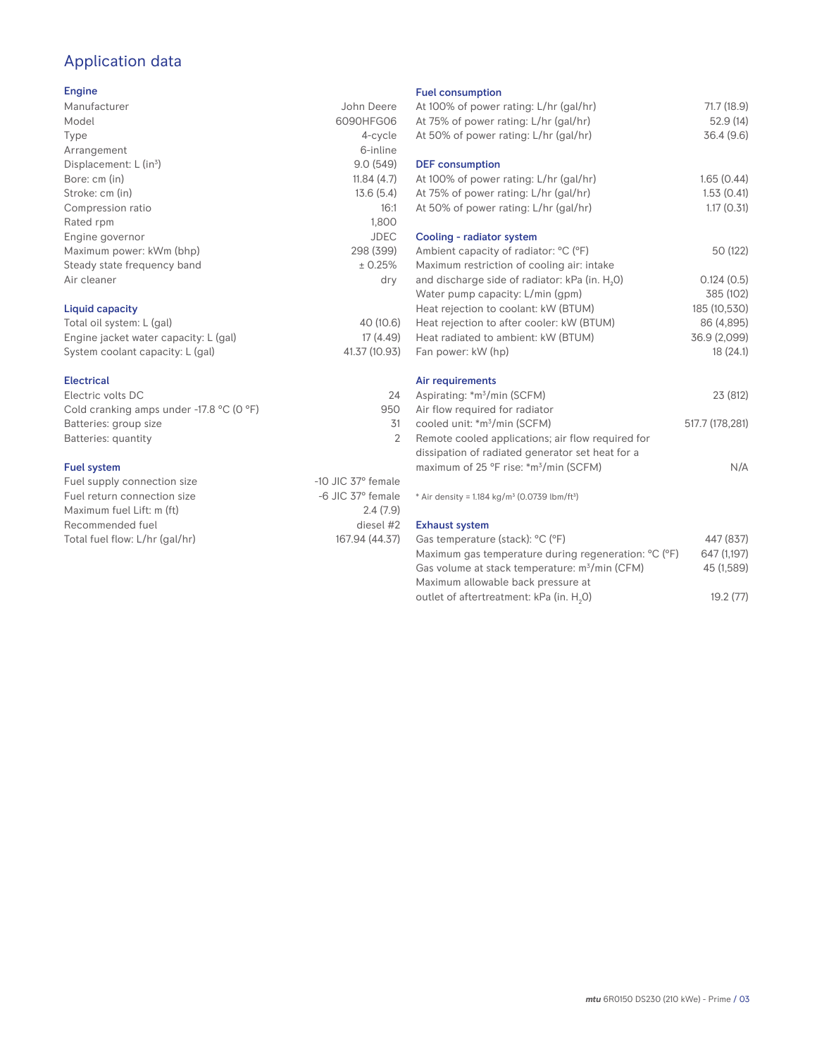# Application data

#### Engine

| Manufacturer                | John Deere  |
|-----------------------------|-------------|
|                             |             |
| Model                       | 6090HFG06   |
| Type                        | 4-cycle     |
| Arrangement                 | 6-inline    |
| Displacement: $L (in3)$     | 9.0(549)    |
| Bore: cm (in)               | 11.84(4.7)  |
| Stroke: cm (in)             | 13.6(5.4)   |
| Compression ratio           | 16:1        |
| Rated rpm                   | 1.800       |
| Engine governor             | <b>JDEC</b> |
| Maximum power: kWm (bhp)    | 298 (399)   |
| Steady state frequency band | ± 0.25%     |
| Air cleaner                 | dry         |
|                             |             |
|                             |             |

## Liquid capacity

| Total oil system: L (gal)             | 40 (10.6)     |
|---------------------------------------|---------------|
| Engine jacket water capacity: L (gal) | 17 (4.49)     |
| System coolant capacity: L (gal)      | 41.37 (10.93) |

#### Electrical

| Electric volts DC                                            | 24  |
|--------------------------------------------------------------|-----|
| Cold cranking amps under -17.8 $^{\circ}$ C (O $^{\circ}$ F) | 950 |
| Batteries: group size                                        | .31 |
| Batteries: quantity                                          |     |
|                                                              |     |

#### Fuel system

| Fuel supply connection size    | $-10$ JIC 37 $\degree$ female |
|--------------------------------|-------------------------------|
| Fuel return connection size    | $-6$ JIC 37 $^{\circ}$ female |
| Maximum fuel Lift: m (ft)      | 2.4(7.9)                      |
| Recommended fuel               | diesel #2                     |
| Total fuel flow: L/hr (gal/hr) | 167.94 (44.37)                |
|                                |                               |

#### Fuel consumption

| At 100% of power rating: L/hr (gal/hr)<br>At 75% of power rating: L/hr (gal/hr)<br>At 50% of power rating: L/hr (gal/hr) | 71.7 (18.9)<br>52.9 (14)<br>36.4(9.6) |
|--------------------------------------------------------------------------------------------------------------------------|---------------------------------------|
| <b>DEF</b> consumption<br>At 100% of power rating: L/hr (gal/hr)<br>At 75% of power rating: L/hr (gal/hr)                | 1.65(0.44)<br>1.53(0.41)              |
| At 50% of power rating: L/hr (gal/hr)                                                                                    | 1.17(0.31)                            |
| Cooling - radiator system                                                                                                |                                       |
| Ambient capacity of radiator: °C (°F)<br>Maximum restriction of cooling air: intake                                      | 50 (122)                              |
| and discharge side of radiator: kPa (in. H <sub>2</sub> O)                                                               | 0.124(0.5)                            |
| Water pump capacity: L/min (gpm)                                                                                         | 385 (102)                             |
| Heat rejection to coolant: kW (BTUM)                                                                                     | 185 (10,530)                          |
| Heat rejection to after cooler: kW (BTUM)                                                                                | 86 (4,895)                            |
| Heat radiated to ambient: kW (BTUM)                                                                                      | 36.9 (2,099)                          |
| Fan power: kW (hp)                                                                                                       | 18(24.1)                              |
| Air requirements                                                                                                         |                                       |
| Aspirating: *m <sup>3</sup> /min (SCFM)<br>Air flow required for radiator                                                | 23 (812)                              |
| cooled unit: *m <sup>3</sup> /min (SCFM)                                                                                 | 517.7 (178,281)                       |
| Remote cooled applications; air flow required for                                                                        |                                       |
| dissipation of radiated generator set heat for a                                                                         |                                       |
| maximum of 25 °F rise: *m <sup>3</sup> /min (SCFM)                                                                       | N/A                                   |
| * Air density = 1.184 kg/m <sup>3</sup> (0.0739 lbm/ft <sup>3</sup> )                                                    |                                       |
| <b>Exhaust system</b>                                                                                                    |                                       |
| Gas temperature (stack): °C (°F)                                                                                         | 447 (837)                             |
| Maximum gas temperature during regeneration: °C (°F)                                                                     | 647 (1,197)                           |
| Gas volume at stack temperature: m <sup>3</sup> /min (CFM)                                                               | 45 (1,589)                            |

Maximum allowable back pressure at outlet of aftertreatment: kPa (in.  $H_2$ 0)

0) 19.2 (77)